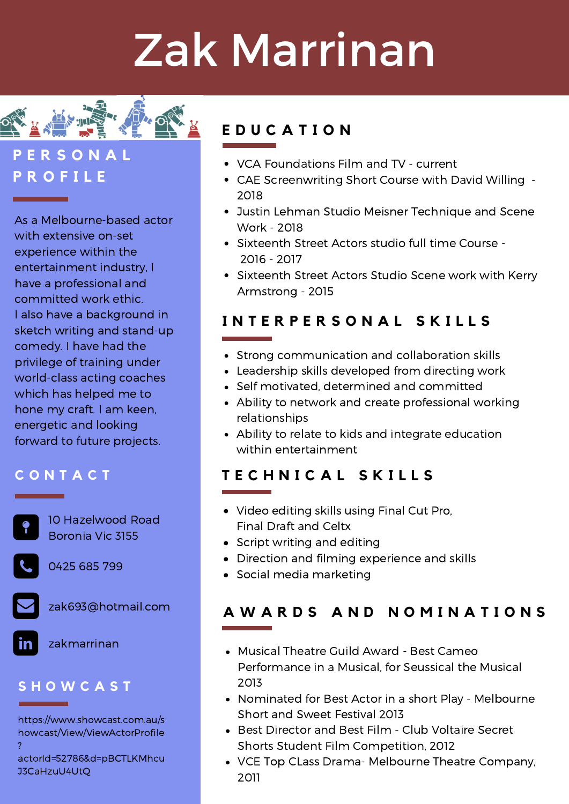# Zak Marrinan



## **P E R S O N A L P R O F I L E**

As a Melbourne-based actor with extensive on-set experience within the entertainment industry, I have a professional and committed work ethic. I also have a background in sketch writing and stand-up comedy. I have had the privilege of training under world-class acting coaches which has helped me to hone my craft. I am keen, energetic and looking forward to future projects.

## **C O N T A C T**

10 Hazelwood Road Boronia Vic 3155

0425 685 799



zak693@hotmail.com



## **S H O W C A S T**

https://www.showcast.com.au/s howcast/View/ViewActorProfile ?

actorId=52786&d=pBCTLKMhcu J3CaHzuU4UtQ

# **E D U C A T I O N**

- VCA Foundations Film and TV current
- CAE Screenwriting Short Course with David Willing 2018
- Justin Lehman Studio Meisner Technique and Scene Work - 2018
- Sixteenth Street Actors studio full time Course -2016 - 2017
- Sixteenth Street Actors Studio Scene work with Kerry Armstrong - 2015

## **I N T E R P E R S O N A L S K I L L S**

- Strong communication and collaboration skills
- Leadership skills developed from directing work
- Self motivated, determined and committed
- Ability to network and create professional working relationships
- Ability to relate to kids and integrate education within entertainment

## **T E C H N I C A L S K I L L S**

- Video editing skills using Final Cut Pro, Final Draft and Celtx
- Script writing and editing
- Direction and filming experience and skills
- Social media marketing

# **A W A R D S A N D N O M I N A T I O N S**

- Musical Theatre Guild Award Best Cameo Performance in a Musical, for Seussical the Musical 2013
- Nominated for Best Actor in a short Play Melbourne Short and Sweet Festival 2013
- Best Director and Best Film Club Voltaire Secret Shorts Student Film Competition, 2012
- VCE Top CLass Drama- Melbourne Theatre Company, 2011